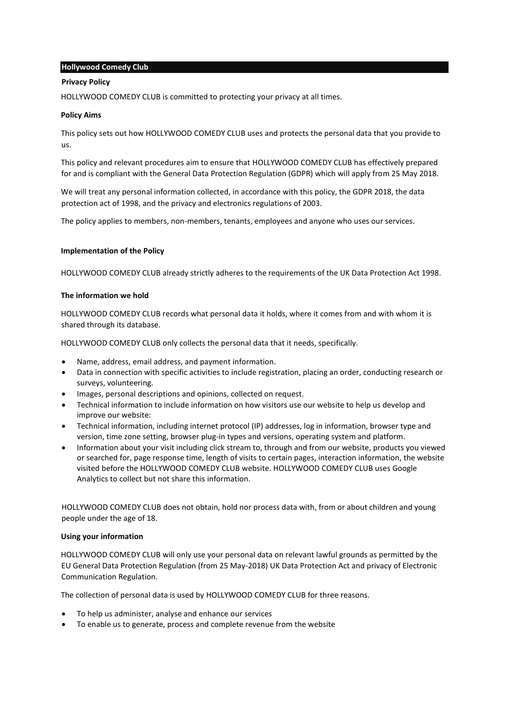# **Hollywood Comedy Club**

### **Privacy Policy**

HOLLYWOOD COMEDY CLUB is committed to protecting your privacy at all times.

### **Policy Aims**

This policy sets out how HOLLYWOOD COMEDY CLUB uses and protects the personal data that you provide to us.

This policy and relevant procedures aim to ensure that HOLLYWOOD COMEDY CLUB has effectively prepared for and is compliant with the General Data Protection Regulation (GDPR) which will apply from 25 May 2018.

We will treat any personal information collected, in accordance with this policy, the GDPR 2018, the data protection act of 1998, and the privacy and electronics regulations of 2003.

The policy applies to members, non-members, tenants, employees and anyone who uses our services.

## **Implementation of the Policy**

HOLLYWOOD COMEDY CLUB already strictly adheres to the requirements of the UK Data Protection Act 1998.

## **The information we hold**

HOLLYWOOD COMEDY CLUB records what personal data it holds, where it comes from and with whom it is shared through its database.

HOLLYWOOD COMEDY CLUB only collects the personal data that it needs, specifically.

- Name, address, email address, and payment information.
- Data in connection with specific activities to include registration, placing an order, conducting research or surveys, volunteering.
- Images, personal descriptions and opinions, collected on request.
- Technical information to include information on how visitors use our website to help us develop and improve our website:
- Technical information, including internet protocol (IP) addresses, log in information, browser type and version, time zone setting, browser plug-in types and versions, operating system and platform.
- Information about your visit including click stream to, through and from our website, products you viewed or searched for, page response time, length of visits to certain pages, interaction information, the website visited before the HOLLYWOOD COMEDY CLUB website. HOLLYWOOD COMEDY CLUB uses Google Analytics to collect but not share this information.

HOLLYWOOD COMEDY CLUB does not obtain, hold nor process data with, from or about children and young people under the age of 18.

### **Using your information**

HOLLYWOOD COMEDY CLUB will only use your personal data on relevant lawful grounds as permitted by the EU General Data Protection Regulation (from 25 May-2018) UK Data Protection Act and privacy of Electronic Communication Regulation.

The collection of personal data is used by HOLLYWOOD COMEDY CLUB for three reasons.

- To help us administer, analyse and enhance our services
- To enable us to generate, process and complete revenue from the website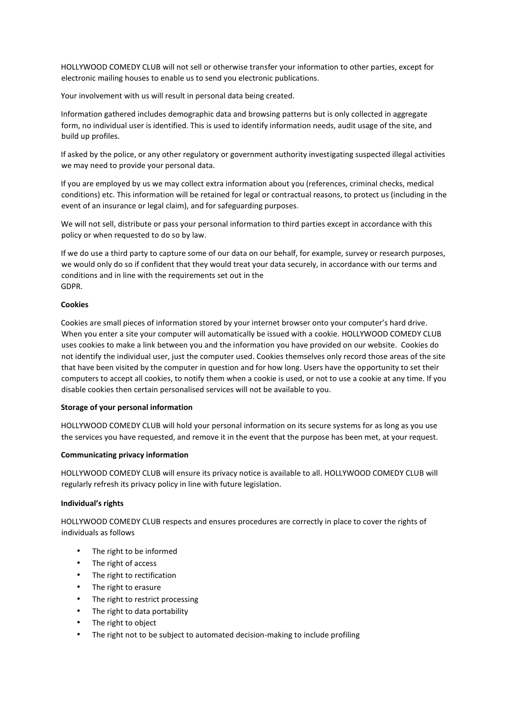HOLLYWOOD COMEDY CLUB will not sell or otherwise transfer your information to other parties, except for electronic mailing houses to enable us to send you electronic publications.

Your involvement with us will result in personal data being created.

Information gathered includes demographic data and browsing patterns but is only collected in aggregate form, no individual user is identified. This is used to identify information needs, audit usage of the site, and build up profiles.

If asked by the police, or any other regulatory or government authority investigating suspected illegal activities we may need to provide your personal data.

If you are employed by us we may collect extra information about you (references, criminal checks, medical conditions) etc. This information will be retained for legal or contractual reasons, to protect us (including in the event of an insurance or legal claim), and for safeguarding purposes.

We will not sell, distribute or pass your personal information to third parties except in accordance with this policy or when requested to do so by law.

If we do use a third party to capture some of our data on our behalf, for example, survey or research purposes, we would only do so if confident that they would treat your data securely, in accordance with our terms and conditions and in line with the requirements set out in the GDPR.

## **Cookies**

Cookies are small pieces of information stored by your internet browser onto your computer's hard drive. When you enter a site your computer will automatically be issued with a cookie. HOLLYWOOD COMEDY CLUB uses cookies to make a link between you and the information you have provided on our website. Cookies do not identify the individual user, just the computer used. Cookies themselves only record those areas of the site that have been visited by the computer in question and for how long. Users have the opportunity to set their computers to accept all cookies, to notify them when a cookie is used, or not to use a cookie at any time. If you disable cookies then certain personalised services will not be available to you.

### **Storage of your personal information**

HOLLYWOOD COMEDY CLUB will hold your personal information on its secure systems for as long as you use the services you have requested, and remove it in the event that the purpose has been met, at your request.

# **Communicating privacy information**

HOLLYWOOD COMEDY CLUB will ensure its privacy notice is available to all. HOLLYWOOD COMEDY CLUB will regularly refresh its privacy policy in line with future legislation.

# **Individual's rights**

HOLLYWOOD COMEDY CLUB respects and ensures procedures are correctly in place to cover the rights of individuals as follows

- The right to be informed
- The right of access
- The right to rectification
- The right to erasure
- The right to restrict processing
- The right to data portability
- The right to object
- The right not to be subject to automated decision-making to include profiling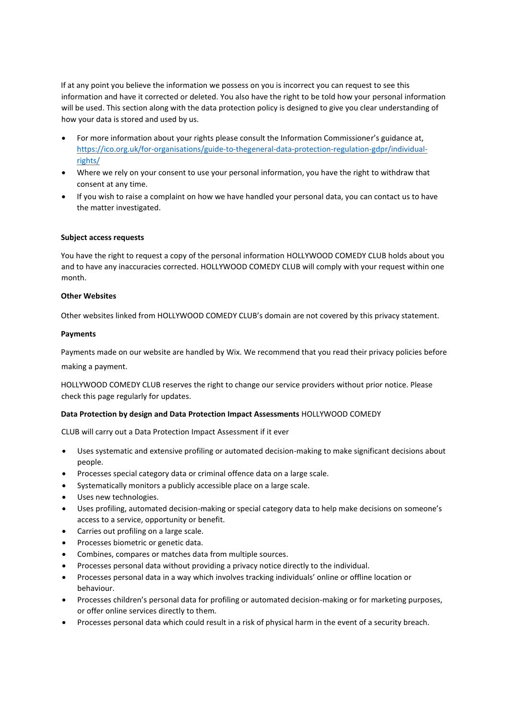If at any point you believe the information we possess on you is incorrect you can request to see this information and have it corrected or deleted. You also have the right to be told how your personal information will be used. This section along with the data protection policy is designed to give you clear understanding of how your data is stored and used by us.

- For more information about your rights please consult the Information Commissioner's guidance at, [https://ico.org.uk/for-organisations/guide-to-thegeneral-data-protection-regulation-gdpr/individual](https://ico.org.uk/for-organisations/guide-to-the-general-data-protection-regulation-gdpr/individual-rights/)[rights/](https://ico.org.uk/for-organisations/guide-to-the-general-data-protection-regulation-gdpr/individual-rights/)
- Where we rely on your consent to use your personal information, you have the right to withdraw that consent at any time.
- If you wish to raise a complaint on how we have handled your personal data, you can contact us to have the matter investigated.

# **Subject access requests**

You have the right to request a copy of the personal information HOLLYWOOD COMEDY CLUB holds about you and to have any inaccuracies corrected. HOLLYWOOD COMEDY CLUB will comply with your request within one month.

### **Other Websites**

Other websites linked from HOLLYWOOD COMEDY CLUB's domain are not covered by this privacy statement.

### **Payments**

Payments made on our website are handled by Wix. We recommend that you read their privacy policies before making a payment.

HOLLYWOOD COMEDY CLUB reserves the right to change our service providers without prior notice. Please check this page regularly for updates.

### **Data Protection by design and Data Protection Impact Assessments** HOLLYWOOD COMEDY

CLUB will carry out a Data Protection Impact Assessment if it ever

- Uses systematic and extensive profiling or automated decision-making to make significant decisions about people.
- Processes special category data or criminal offence data on a large scale.
- Systematically monitors a publicly accessible place on a large scale.
- Uses new technologies.
- Uses profiling, automated decision-making or special category data to help make decisions on someone's access to a service, opportunity or benefit.
- Carries out profiling on a large scale.
- Processes biometric or genetic data.
- Combines, compares or matches data from multiple sources.
- Processes personal data without providing a privacy notice directly to the individual.
- Processes personal data in a way which involves tracking individuals' online or offline location or behaviour.
- Processes children's personal data for profiling or automated decision-making or for marketing purposes, or offer online services directly to them.
- Processes personal data which could result in a risk of physical harm in the event of a security breach.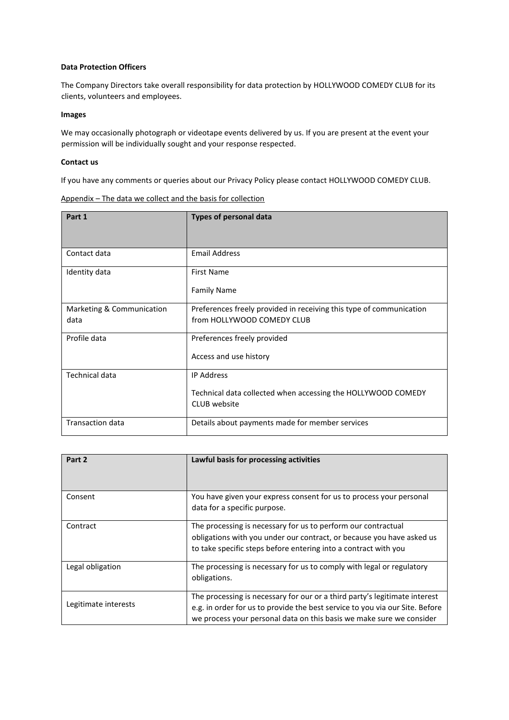# **Data Protection Officers**

The Company Directors take overall responsibility for data protection by HOLLYWOOD COMEDY CLUB for its clients, volunteers and employees.

### **Images**

We may occasionally photograph or videotape events delivered by us. If you are present at the event your permission will be individually sought and your response respected.

## **Contact us**

If you have any comments or queries about our Privacy Policy please contact HOLLYWOOD COMEDY CLUB.

| Appendix - The data we collect and the basis for collection |  |  |  |  |  |
|-------------------------------------------------------------|--|--|--|--|--|
|                                                             |  |  |  |  |  |

| Part 1                            | <b>Types of personal data</b>                                                                     |
|-----------------------------------|---------------------------------------------------------------------------------------------------|
| Contact data                      | <b>Email Address</b>                                                                              |
| Identity data                     | <b>First Name</b><br><b>Family Name</b>                                                           |
| Marketing & Communication<br>data | Preferences freely provided in receiving this type of communication<br>from HOLLYWOOD COMEDY CLUB |
| Profile data                      | Preferences freely provided<br>Access and use history                                             |
| Technical data                    | <b>IP Address</b><br>Technical data collected when accessing the HOLLYWOOD COMEDY<br>CLUB website |
| <b>Transaction data</b>           | Details about payments made for member services                                                   |

| Part 2               | Lawful basis for processing activities                                                                                                                                                                                             |
|----------------------|------------------------------------------------------------------------------------------------------------------------------------------------------------------------------------------------------------------------------------|
| Consent              | You have given your express consent for us to process your personal<br>data for a specific purpose.                                                                                                                                |
| Contract             | The processing is necessary for us to perform our contractual<br>obligations with you under our contract, or because you have asked us<br>to take specific steps before entering into a contract with you                          |
| Legal obligation     | The processing is necessary for us to comply with legal or regulatory<br>obligations.                                                                                                                                              |
| Legitimate interests | The processing is necessary for our or a third party's legitimate interest<br>e.g. in order for us to provide the best service to you via our Site. Before<br>we process your personal data on this basis we make sure we consider |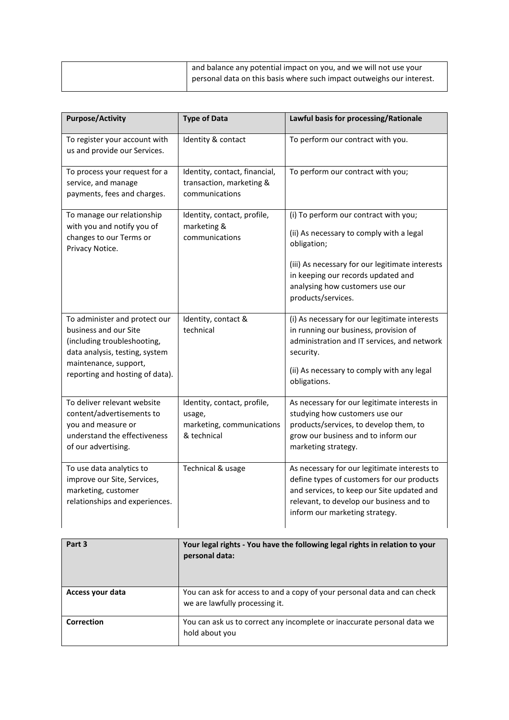| and balance any potential impact on you, and we will not use your     |
|-----------------------------------------------------------------------|
| personal data on this basis where such impact outweighs our interest. |

| <b>Purpose/Activity</b>                                                                                                                                                             | <b>Type of Data</b>                                                               | Lawful basis for processing/Rationale                                                                                                                                                                                                              |
|-------------------------------------------------------------------------------------------------------------------------------------------------------------------------------------|-----------------------------------------------------------------------------------|----------------------------------------------------------------------------------------------------------------------------------------------------------------------------------------------------------------------------------------------------|
| To register your account with<br>us and provide our Services.                                                                                                                       | Identity & contact                                                                | To perform our contract with you.                                                                                                                                                                                                                  |
| To process your request for a<br>service, and manage<br>payments, fees and charges.                                                                                                 | Identity, contact, financial,<br>transaction, marketing &<br>communications       | To perform our contract with you;                                                                                                                                                                                                                  |
| To manage our relationship<br>with you and notify you of<br>changes to our Terms or<br>Privacy Notice.                                                                              | Identity, contact, profile,<br>marketing &<br>communications                      | (i) To perform our contract with you;<br>(ii) As necessary to comply with a legal<br>obligation;<br>(iii) As necessary for our legitimate interests<br>in keeping our records updated and<br>analysing how customers use our<br>products/services. |
| To administer and protect our<br>business and our Site<br>(including troubleshooting,<br>data analysis, testing, system<br>maintenance, support,<br>reporting and hosting of data). | Identity, contact &<br>technical                                                  | (i) As necessary for our legitimate interests<br>in running our business, provision of<br>administration and IT services, and network<br>security.<br>(ii) As necessary to comply with any legal<br>obligations.                                   |
| To deliver relevant website<br>content/advertisements to<br>you and measure or<br>understand the effectiveness<br>of our advertising.                                               | Identity, contact, profile,<br>usage,<br>marketing, communications<br>& technical | As necessary for our legitimate interests in<br>studying how customers use our<br>products/services, to develop them, to<br>grow our business and to inform our<br>marketing strategy.                                                             |
| To use data analytics to<br>improve our Site, Services,<br>marketing, customer<br>relationships and experiences.                                                                    | Technical & usage                                                                 | As necessary for our legitimate interests to<br>define types of customers for our products<br>and services, to keep our Site updated and<br>relevant, to develop our business and to<br>inform our marketing strategy.                             |

| Part 3           | Your legal rights - You have the following legal rights in relation to your<br>personal data:              |
|------------------|------------------------------------------------------------------------------------------------------------|
| Access your data | You can ask for access to and a copy of your personal data and can check<br>we are lawfully processing it. |
| Correction       | You can ask us to correct any incomplete or inaccurate personal data we<br>hold about you                  |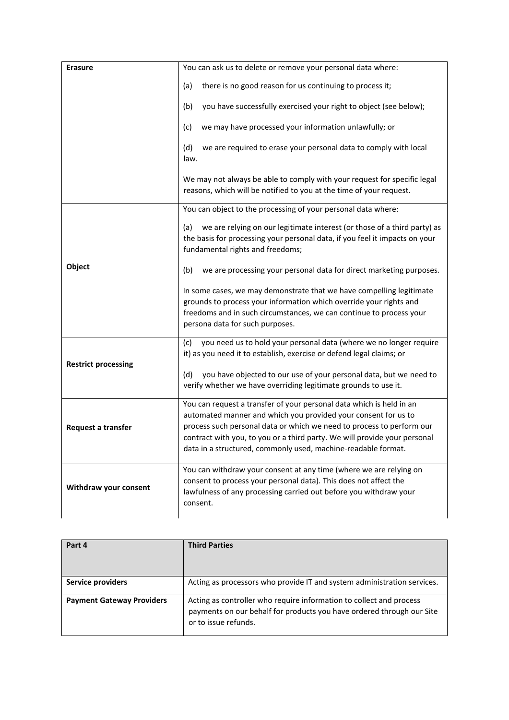| <b>Erasure</b>             | You can ask us to delete or remove your personal data where:                                                                                                                                                                                                                                                                                                  |
|----------------------------|---------------------------------------------------------------------------------------------------------------------------------------------------------------------------------------------------------------------------------------------------------------------------------------------------------------------------------------------------------------|
|                            | there is no good reason for us continuing to process it;<br>(a)                                                                                                                                                                                                                                                                                               |
|                            | (b)<br>you have successfully exercised your right to object (see below);                                                                                                                                                                                                                                                                                      |
|                            | we may have processed your information unlawfully; or<br>(c)                                                                                                                                                                                                                                                                                                  |
|                            | we are required to erase your personal data to comply with local<br>(d)<br>law.                                                                                                                                                                                                                                                                               |
|                            | We may not always be able to comply with your request for specific legal<br>reasons, which will be notified to you at the time of your request.                                                                                                                                                                                                               |
|                            | You can object to the processing of your personal data where:                                                                                                                                                                                                                                                                                                 |
|                            | we are relying on our legitimate interest (or those of a third party) as<br>(a)<br>the basis for processing your personal data, if you feel it impacts on your<br>fundamental rights and freedoms;                                                                                                                                                            |
| Object                     | (b)<br>we are processing your personal data for direct marketing purposes.                                                                                                                                                                                                                                                                                    |
|                            | In some cases, we may demonstrate that we have compelling legitimate<br>grounds to process your information which override your rights and<br>freedoms and in such circumstances, we can continue to process your<br>persona data for such purposes.                                                                                                          |
|                            | you need us to hold your personal data (where we no longer require<br>(c)<br>it) as you need it to establish, exercise or defend legal claims; or                                                                                                                                                                                                             |
| <b>Restrict processing</b> | you have objected to our use of your personal data, but we need to<br>(d)<br>verify whether we have overriding legitimate grounds to use it.                                                                                                                                                                                                                  |
| Request a transfer         | You can request a transfer of your personal data which is held in an<br>automated manner and which you provided your consent for us to<br>process such personal data or which we need to process to perform our<br>contract with you, to you or a third party. We will provide your personal<br>data in a structured, commonly used, machine-readable format. |
| Withdraw your consent      | You can withdraw your consent at any time (where we are relying on<br>consent to process your personal data). This does not affect the<br>lawfulness of any processing carried out before you withdraw your<br>consent.                                                                                                                                       |

| Part 4                           | <b>Third Parties</b>                                                                                                                                                 |
|----------------------------------|----------------------------------------------------------------------------------------------------------------------------------------------------------------------|
| Service providers                | Acting as processors who provide IT and system administration services.                                                                                              |
| <b>Payment Gateway Providers</b> | Acting as controller who require information to collect and process<br>payments on our behalf for products you have ordered through our Site<br>or to issue refunds. |